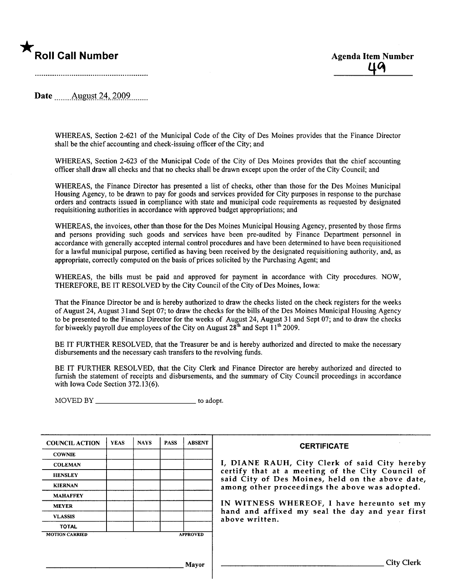

Date \_\_\_\_\_\_ August 24, 2009

WHEREAS, Section 2-621 of the Municipal Code of the City of Des Moines provides that the Finance Director shall be the chief accounting and check-issuing officer of the City; and

WHEREAS, Section 2-623 of the Municipal Code of the City of Des Moines provides that the chief accounting officer shall draw all checks and that no checks shall be drawn except upon the order of the City Council; and

WHEREAS, the Finance Director has presented a list of checks, other than those for the Des Moines Municipal Housing Agency, to be drawn to pay for goods and services provided for City purposes in response to the purchase orders and contracts issued in compliance with state and municipal code requirements as requested by designated requisitioning authorities in accordance with approved budget appropriations; and

WHEREAS, the invoices, other than those for the Des Moines Municipal Housing Agency, presented by those firms and persons providing such goods and services have been pre-audited by Finance Department personnel in accordance with generally accepted internal control procedures and have been determined to have been requisitioned for a lawful municipal purpose, certified as having been received by the designated requisitioning authority, and, as appropriate, correctly computed on the basis of prices solicited by the Purchasing Agent; and

WHEREAS, the bils must be paid and approved for payment in accordance with City procedures. NOW, THEREFORE, BE IT RESOLVED by the City Council of the City of Des Moines, Iowa:

That the Finance Director be and is hereby authorized to draw the checks listed on the check registers for the weeks of August 24, August 3 land Sept 07; to draw the checks for the bils of the Des Moines Municipal Housing Agency to be presented to the Finance Director for the weeks of August 24, August 31 and Sept 07; and to draw the checks for biweekly payroll due employees of the City on August  $28^{th}$  and Sept  $11^{th}$  2009.

BE IT FURTHER RESOLVED, that the Treasurer be and is hereby authorized and directed to make the necessary disbursements and the necessary cash transfers to the revolving fuds.

BE IT FURTHER RESOLVED, that the City Clerk and Finance Director are hereby authorized and directed to furnish the statement of receipts and disbursements, and the summary of City Council proceedings in accordance with Iowa Code Section 372.13(6).

MOVED BY \_\_\_\_\_\_\_\_\_\_\_\_\_\_\_\_\_\_\_\_\_\_\_\_\_\_\_\_\_\_\_\_ to adopt.

| <b>COUNCIL ACTION</b> | <b>YEAS</b> | <b>NAYS</b>     | <b>PASS</b> | <b>ABSENT</b> |
|-----------------------|-------------|-----------------|-------------|---------------|
| <b>COWNIE</b>         |             |                 |             |               |
| <b>COLEMAN</b>        |             |                 |             |               |
| <b>HENSLEY</b>        |             |                 |             |               |
| <b>KIERNAN</b>        |             |                 |             |               |
| <b>MAHAFFEY</b>       |             |                 |             |               |
| <b>MEYER</b>          |             |                 |             |               |
| <b>VLASSIS</b>        |             |                 |             |               |
| <b>TOTAL</b>          |             |                 |             |               |
| <b>MOTION CARRIED</b> |             | <b>APPROVED</b> |             |               |

#### **CERTIFICATE**

I, DIANE RAUH, City Clerk of said City hereby certify that at a meeting of the City Council of said City of Des Moines, held on the above date, among other proceedings the above was adopted.

IN WITNESS WHEREOF, I have hereunto set my hand and affixed my seal the day and year first above written.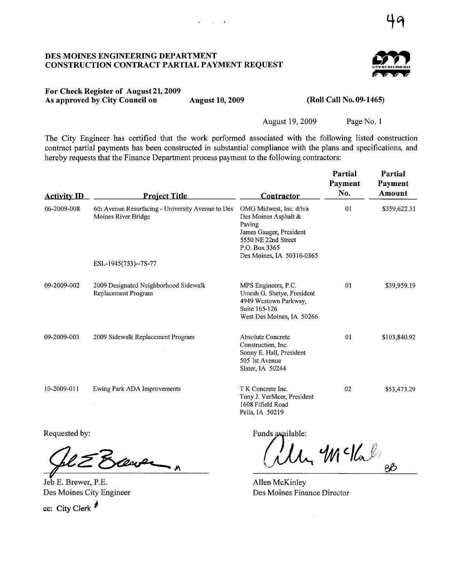#### DES MOINES ENGINEERING DEPARTMENT CONSTRUCTION CONTRACT PARTIAL PAYMENT REQUEST



## For Check Register of August 21,2009 As approved by City Council on August 10,2009

 $\mathbf{r} = (1, 1, \ldots, 4)$ 

#### (Roll Call No. 09-1465)

August 19,2009

Page No. 1

The City Engineer has certified that the work performed associated with the following listed construction contract partial payments has been constructed in substantial compliance with the plans and specifications, and hereby requests that the Finance Department process payment to the following contractors:

| <b>Activity ID</b> | <b>Project Title</b>                                                     | Contractor                                                                                                                                                | Partial<br>Payment<br>No. | Partial<br>Payment<br>Amount |
|--------------------|--------------------------------------------------------------------------|-----------------------------------------------------------------------------------------------------------------------------------------------------------|---------------------------|------------------------------|
| 06-2009-008        | 6th Avenue Resurfacing - University Avenue to Des<br>Moines River Bridge | OMG Midwest, Inc. d/b/a<br>Des Moines Asphalt &<br>Paving<br>James Gauger, President<br>5550 NE 22nd Street<br>P.O. Box 3365<br>Des Moines, IA 50316-0365 | 01                        | \$359,622.31                 |
|                    | ESL-1945(753)--7S-77                                                     |                                                                                                                                                           |                           |                              |
| 09-2009-002        | 2009 Designated Neighborhood Sidewalk<br>Replacement Program             | MPS Engineers, P.C.<br>Umesh G. Shetye, President<br>4949 Westown Parkway,<br>Suite 165-126<br>West Des Moines, IA 50266                                  | 01                        | \$39,959.19                  |
| 09-2009-003        | 2009 Sidewalk Replacement Program                                        | Absolute Concrete<br>Construction, Inc.<br>Sonny E. Hall, President<br>505 1st Avenue<br>Slater, IA 50244                                                 | 01                        | \$103,840.92                 |
| 10-2009-011        | Ewing Park ADA Improvements                                              | T K Concrete Inc.<br>Tony J. VerMeer, President<br>1608 Fifield Road<br>Pella, IA 50219                                                                   | 02                        | \$53,473.29                  |

equested by:<br>Glz Elever

Jeb E. Brewer, P.E. Des Moines City Engineer

cc: City Clerk

Requested by: Funds available:

 $4M$  c/ $\ell_{\infty}$ eb

Allen McKinley Des Moines Finance Director

 $4^\nu$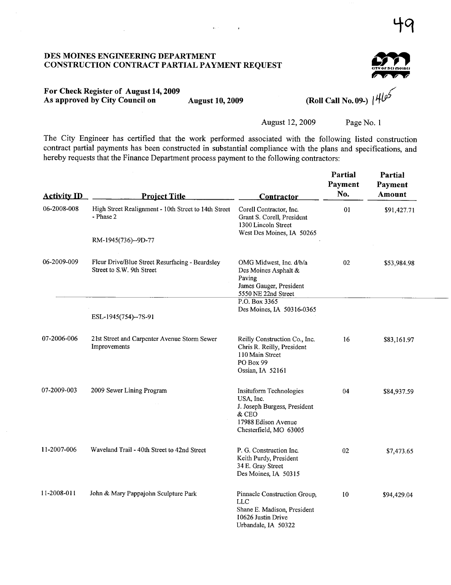#### DES MOINES ENGINEERIG DEPARTMENT CONSTRUCTION CONTRACT PARTIAL PAYMENT REQUEST



# For Check Register of August 14, 2009 As approved by City Council on August 10, 2009 (Roll Call No. 09-)

 $\mathbf{q}_{\mathrm{H}}$  ,  $\mathbf{q}_{\mathrm{H}}$ 

 $\sim$   $\sim$ 

August 12, 2009 Page No. 1

The City Engineer has certified that the work performed associated with the following listed construction contract partial payments has been constructed in substantial compliance with the plans and specifications, and hereby requests that the Finance Department process payment to the following contractors:

| <b>Activity ID</b> | <b>Project Title</b>                                                         | <b>Contractor</b>                                                                                                              | Partial<br>Payment<br>No. | Partial<br>Payment<br>Amount |
|--------------------|------------------------------------------------------------------------------|--------------------------------------------------------------------------------------------------------------------------------|---------------------------|------------------------------|
| 06-2008-008        | High Street Realignment - 10th Street to 14th Street<br>- Phase 2            | Corell Contractor, Inc.<br>Grant S. Corell, President<br>1300 Lincoln Street<br>West Des Moines, IA 50265                      | 01                        | \$91,427.71                  |
|                    | RM-1945(736)--9D-77                                                          |                                                                                                                                |                           |                              |
| 06-2009-009        | Fleur Drive/Blue Street Resurfacing - Beardsley<br>Street to S.W. 9th Street | OMG Midwest, Inc. d/b/a<br>Des Moines Asphalt &<br>Paving<br>James Gauger, President<br>5550 NE 22nd Street<br>P.O. Box 3365   | 02                        | \$53,984.98                  |
|                    | ESL-1945(754)--7S-91                                                         | Des Moines, IA 50316-0365                                                                                                      |                           |                              |
| 07-2006-006        | 21st Street and Carpenter Avenue Storm Sewer<br>Improvements                 | Reilly Construction Co., Inc.<br>Chris R. Reilly, President<br>110 Main Street<br>PO Box 99<br>Ossian, IA 52161                | 16                        | \$83,161.97                  |
| 07-2009-003        | 2009 Sewer Lining Program                                                    | Insituform Technologies<br>USA, Inc.<br>J. Joseph Burgess, President<br>& CEO<br>17988 Edison Avenue<br>Chesterfield, MO 63005 | 04                        | \$84,937.59                  |
| 11-2007-006        | Waveland Trail - 40th Street to 42nd Street                                  | P. G. Construction Inc.<br>Keith Purdy, President<br>34 E. Gray Street<br>Des Moines, IA 50315                                 | 02                        | \$7,473.65                   |
| 11-2008-011        | John & Mary Pappajohn Sculpture Park                                         | Pinnacle Construction Group,<br><b>LLC</b><br>Shane E. Madison, President<br>10626 Justin Drive<br>Urbandale, IA 50322         | 10                        | \$94,429.04                  |